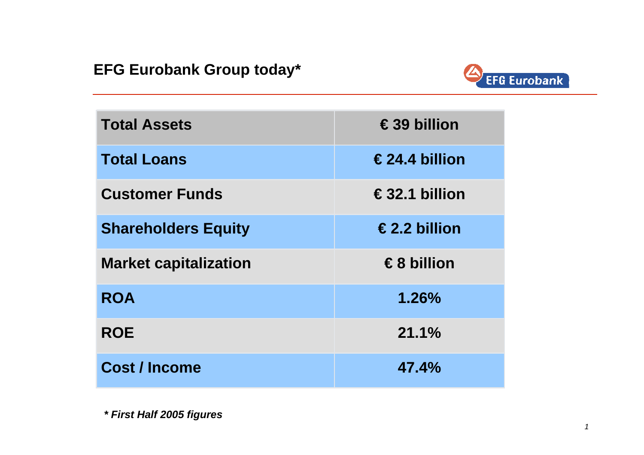#### **EFG Eurobank Group today\***



| <b>Total Assets</b>          | $\epsilon$ 39 billion   |
|------------------------------|-------------------------|
| <b>Total Loans</b>           | $\epsilon$ 24.4 billion |
| <b>Customer Funds</b>        | $\epsilon$ 32.1 billion |
| <b>Shareholders Equity</b>   | €2.2 billion            |
| <b>Market capitalization</b> | €8 billion              |
| <b>ROA</b>                   | 1.26%                   |
| <b>ROE</b>                   | 21.1%                   |
| <b>Cost / Income</b>         | 47.4%                   |

*\* First Half 2005 figures*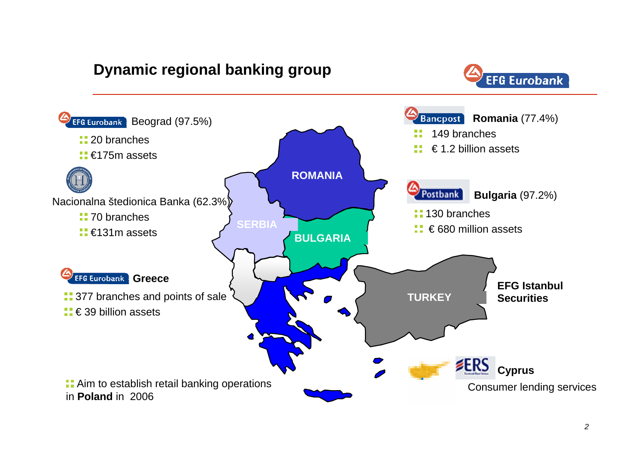## **Dynamic regional banking group**



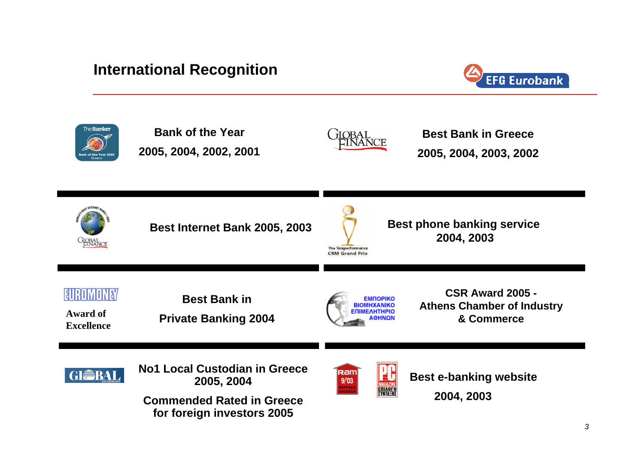#### **International Recognition**



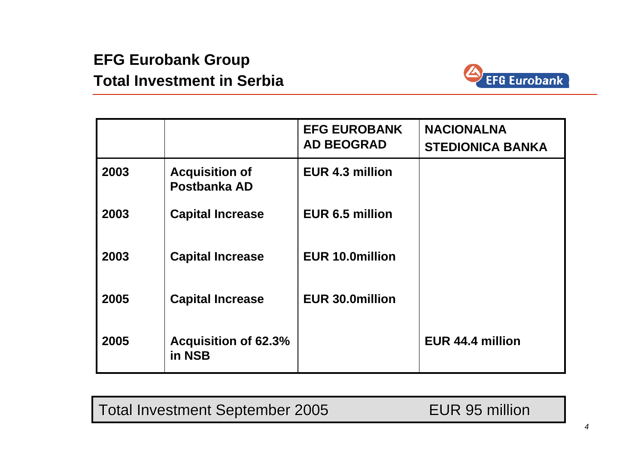# **EFG Eurobank Group Total Investment in Serbia**



|      |                                       | <b>EFG EUROBANK</b><br><b>AD BEOGRAD</b> | <b>NACIONALNA</b><br><b>STEDIONICA BANKA</b> |
|------|---------------------------------------|------------------------------------------|----------------------------------------------|
| 2003 | <b>Acquisition of</b><br>Postbanka AD | EUR 4.3 million                          |                                              |
| 2003 | <b>Capital Increase</b>               | EUR 6.5 million                          |                                              |
| 2003 | <b>Capital Increase</b>               | <b>EUR 10.0million</b>                   |                                              |
| 2005 | <b>Capital Increase</b>               | <b>EUR 30.0million</b>                   |                                              |
| 2005 | <b>Acquisition of 62.3%</b><br>in NSB |                                          | EUR 44.4 million                             |

Total Investment September 2005 FUR 95 million